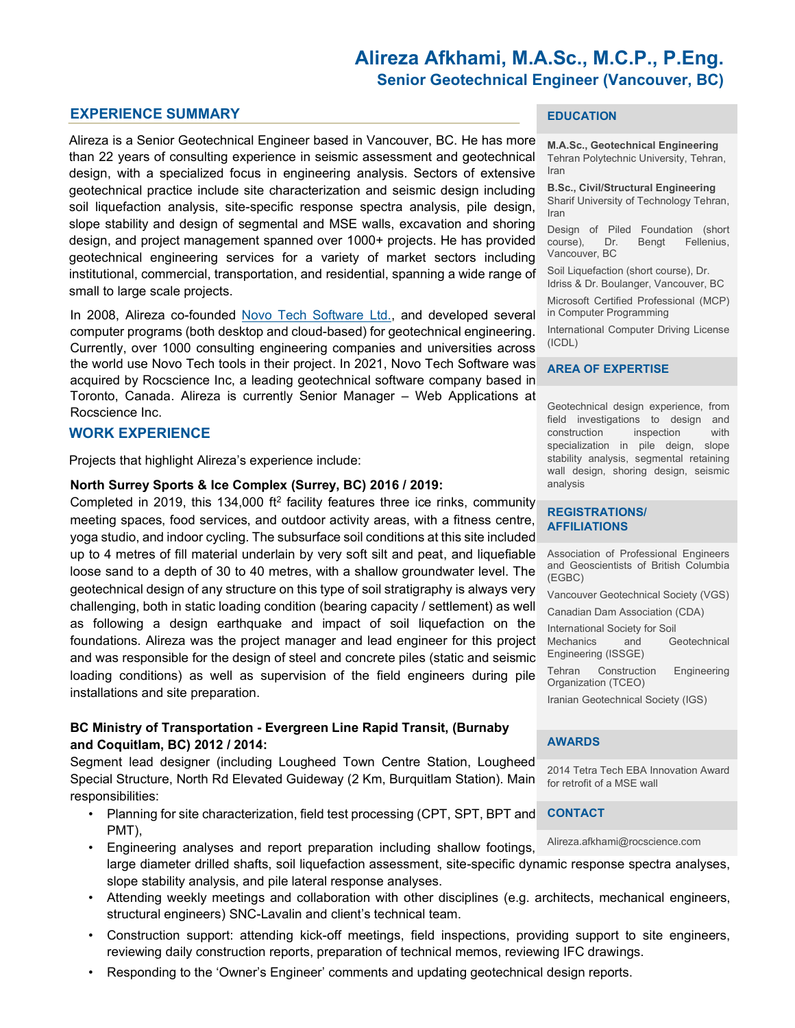# **Alireza Afkhami, M.A.Sc., M.C.P., P.Eng. Senior Geotechnical Engineer (Vancouver, BC)**

## **EXPERIENCE SUMMARY**

Alireza is a Senior Geotechnical Engineer based in Vancouver, BC. He has more than 22 years of consulting experience in seismic assessment and geotechnical design, with a specialized focus in engineering analysis. Sectors of extensive geotechnical practice include site characterization and seismic design including soil liquefaction analysis, site-specific response spectra analysis, pile design, slope stability and design of segmental and MSE walls, excavation and shoring design, and project management spanned over 1000+ projects. He has provided geotechnical engineering services for a variety of market sectors including institutional, commercial, transportation, and residential, spanning a wide range of small to large scale projects.

In 2008, Alireza co-founded [Novo Tech Software](http://www.novotechsoftware.com/) [Ltd.,](http://www.novotechsoftware.com/) and developed several computer programs (both desktop and cloud-based) for geotechnical engineering. Currently, over 1000 consulting engineering companies and universities across the world use Novo Tech tools in their project. In 2021, Novo Tech Software was acquired by Rocscience Inc, a leading geotechnical software company based in Toronto, Canada. Alireza is currently Senior Manager – Web Applications at Rocscience Inc.

## **WORK EXPERIENCE**

Projects that highlight Alireza's experience include:

### **North Surrey Sports & Ice Complex (Surrey, BC) 2016 / 2019:**

Completed in 2019, this 134,000 ft<sup>2</sup> facility features three ice rinks, community meeting spaces, food services, and outdoor activity areas, with a fitness centre, yoga studio, and indoor cycling. The subsurface soil conditions at this site included up to 4 metres of fill material underlain by very soft silt and peat, and liquefiable loose sand to a depth of 30 to 40 metres, with a shallow groundwater level. The geotechnical design of any structure on this type of soil stratigraphy is always very challenging, both in static loading condition (bearing capacity / settlement) as well as following a design earthquake and impact of soil liquefaction on the foundations. Alireza was the project manager and lead engineer for this project and was responsible for the design of steel and concrete piles (static and seismic loading conditions) as well as supervision of the field engineers during pile installations and site preparation.

## **BC Ministry of Transportation - Evergreen Line Rapid Transit, (Burnaby and Coquitlam, BC) 2012 / 2014:**

Segment lead designer (including Lougheed Town Centre Station, Lougheed Special Structure, North Rd Elevated Guideway (2 Km, Burquitlam Station). Main responsibilities:

- Planning for site characterization, field test processing (CPT, SPT, BPT and PMT),
- Engineering analyses and report preparation including shallow footings, large diameter drilled shafts, soil liquefaction assessment, site-specific dynamic response spectra analyses, slope stability analysis, and pile lateral response analyses.
- Attending weekly meetings and collaboration with other disciplines (e.g. architects, mechanical engineers, structural engineers) SNC-Lavalin and client's technical team.
- Construction support: attending kick-off meetings, field inspections, providing support to site engineers, reviewing daily construction reports, preparation of technical memos, reviewing IFC drawings.
- Responding to the 'Owner's Engineer' comments and updating geotechnical design reports.

### **EDUCATION**

**M.A.Sc., Geotechnical Engineering** Tehran Polytechnic University, Tehran, Iran

**B.Sc., Civil/Structural Engineering**

Sharif University of Technology Tehran, Iran

Design of Piled Foundation (short course), Dr. Bengt Fellenius, Vancouver, BC

Soil Liquefaction (short course), Dr. Idriss & Dr. Boulanger, Vancouver, BC

Microsoft Certified Professional (MCP) in Computer Programming

International Computer Driving License (ICDL)

#### **AREA OF EXPERTISE**

Geotechnical design experience, from field investigations to design and construction inspection with specialization in pile deign, slope stability analysis, segmental retaining wall design, shoring design, seismic analysis

### **REGISTRATIONS/ AFFILIATIONS**

Association of Professional Engineers and Geoscientists of British Columbia (EGBC)

Vancouver Geotechnical Society (VGS) Canadian Dam Association (CDA)

International Society for Soil

Mechanics and Geotechnical Engineering (ISSGE)

Tehran Construction Engineering Organization (TCEO)

Iranian Geotechnical Society (IGS)

#### **AWARDS**

2014 Tetra Tech EBA Innovation Award for retrofit of a MSE wall

#### **CONTACT**

Alireza.afkhami@rocscience.com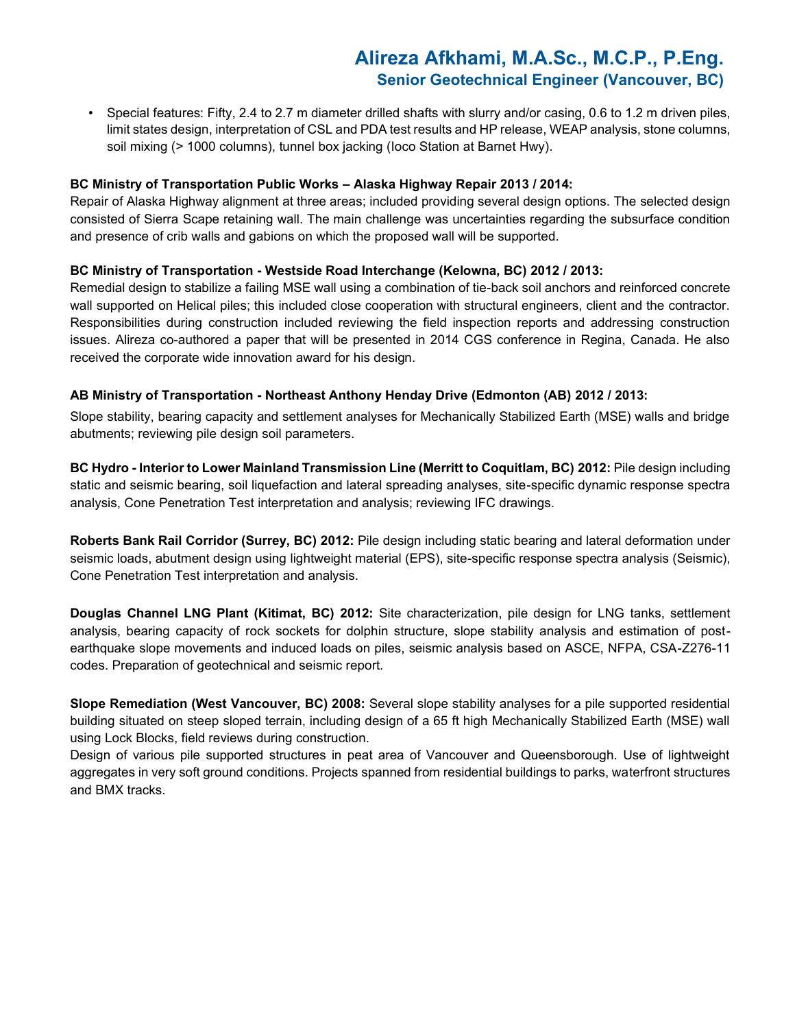# **Alireza Afkhami, M.A.Sc., M.C.P., P.Eng. Senior Geotechnical Engineer (Vancouver, BC)**

• Special features: Fifty, 2.4 to 2.7 m diameter drilled shafts with slurry and/or casing, 0.6 to 1.2 m driven piles, limit states design, interpretation of CSL and PDA test results and HP release, WEAP analysis, stone columns, soil mixing (> 1000 columns), tunnel box jacking (Ioco Station at Barnet Hwy).

## **BC Ministry of Transportation Public Works – Alaska Highway Repair 2013 / 2014:**

Repair of Alaska Highway alignment at three areas; included providing several design options. The selected design consisted of Sierra Scape retaining wall. The main challenge was uncertainties regarding the subsurface condition and presence of crib walls and gabions on which the proposed wall will be supported.

## **BC Ministry of Transportation - Westside Road Interchange (Kelowna, BC) 2012 / 2013:**

Remedial design to stabilize a failing MSE wall using a combination of tie-back soil anchors and reinforced concrete wall supported on Helical piles; this included close cooperation with structural engineers, client and the contractor. Responsibilities during construction included reviewing the field inspection reports and addressing construction issues. Alireza co-authored a paper that will be presented in 2014 CGS conference in Regina, Canada. He also received the corporate wide innovation award for his design.

## **AB Ministry of Transportation - Northeast Anthony Henday Drive (Edmonton (AB) 2012 / 2013:**

Slope stability, bearing capacity and settlement analyses for Mechanically Stabilized Earth (MSE) walls and bridge abutments; reviewing pile design soil parameters.

**BC Hydro - Interior to Lower Mainland Transmission Line (Merritt to Coquitlam, BC) 2012:** Pile design including static and seismic bearing, soil liquefaction and lateral spreading analyses, site-specific dynamic response spectra analysis, Cone Penetration Test interpretation and analysis; reviewing IFC drawings.

**Roberts Bank Rail Corridor (Surrey, BC) 2012:** Pile design including static bearing and lateral deformation under seismic loads, abutment design using lightweight material (EPS), site-specific response spectra analysis (Seismic), Cone Penetration Test interpretation and analysis.

**Douglas Channel LNG Plant (Kitimat, BC) 2012:** Site characterization, pile design for LNG tanks, settlement analysis, bearing capacity of rock sockets for dolphin structure, slope stability analysis and estimation of postearthquake slope movements and induced loads on piles, seismic analysis based on ASCE, NFPA, CSA-Z276-11 codes. Preparation of geotechnical and seismic report.

**Slope Remediation (West Vancouver, BC) 2008:** Several slope stability analyses for a pile supported residential building situated on steep sloped terrain, including design of a 65 ft high Mechanically Stabilized Earth (MSE) wall using Lock Blocks, field reviews during construction.

Design of various pile supported structures in peat area of Vancouver and Queensborough. Use of lightweight aggregates in very soft ground conditions. Projects spanned from residential buildings to parks, waterfront structures and BMX tracks.